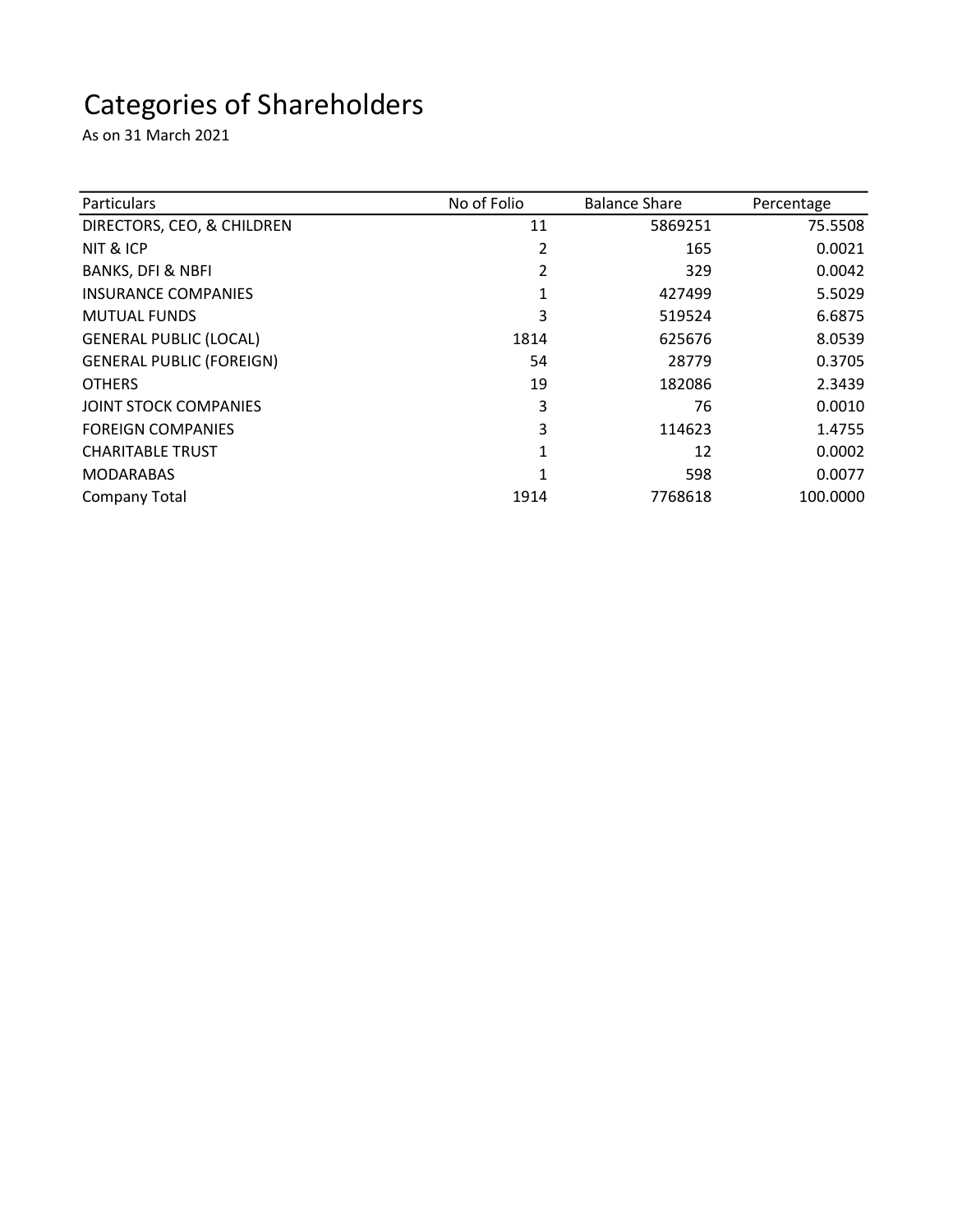## Categories of Shareholders

As on 31 March 2021

| <b>Particulars</b>              | No of Folio | <b>Balance Share</b> | Percentage |
|---------------------------------|-------------|----------------------|------------|
| DIRECTORS, CEO, & CHILDREN      | 11          | 5869251              | 75.5508    |
| NIT & ICP                       | 2           | 165                  | 0.0021     |
| <b>BANKS, DFI &amp; NBFI</b>    |             | 329                  | 0.0042     |
| <b>INSURANCE COMPANIES</b>      | 1           | 427499               | 5.5029     |
| <b>MUTUAL FUNDS</b>             | 3           | 519524               | 6.6875     |
| <b>GENERAL PUBLIC (LOCAL)</b>   | 1814        | 625676               | 8.0539     |
| <b>GENERAL PUBLIC (FOREIGN)</b> | 54          | 28779                | 0.3705     |
| <b>OTHERS</b>                   | 19          | 182086               | 2.3439     |
| <b>JOINT STOCK COMPANIES</b>    | 3           | 76                   | 0.0010     |
| <b>FOREIGN COMPANIES</b>        | 3           | 114623               | 1.4755     |
| <b>CHARITABLE TRUST</b>         | 1           | 12                   | 0.0002     |
| <b>MODARABAS</b>                | 1           | 598                  | 0.0077     |
| <b>Company Total</b>            | 1914        | 7768618              | 100.0000   |